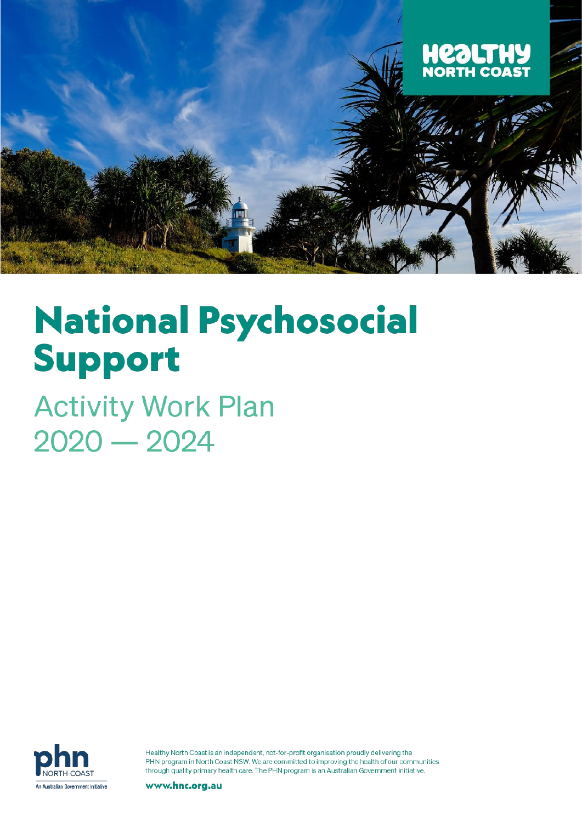

# **National Psychosocial Support**

**Activity Work Plan**  $2020 - 2024$ 



Healthy North Coast is an independent, not-for-profit organisation proudly delivering the PHN program in North Coast NSW. We are committed to improving the health of our communities through quality primary health care. The PHN program is an Australian Government initiative.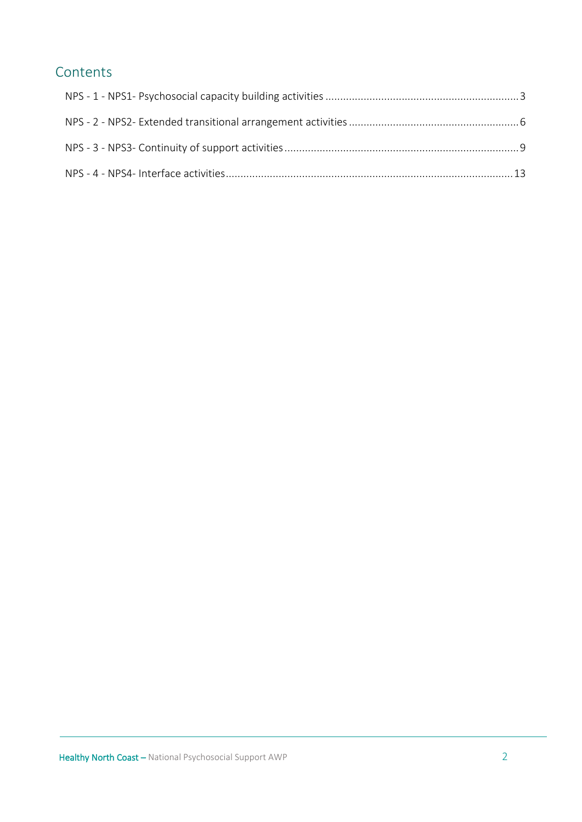# Contents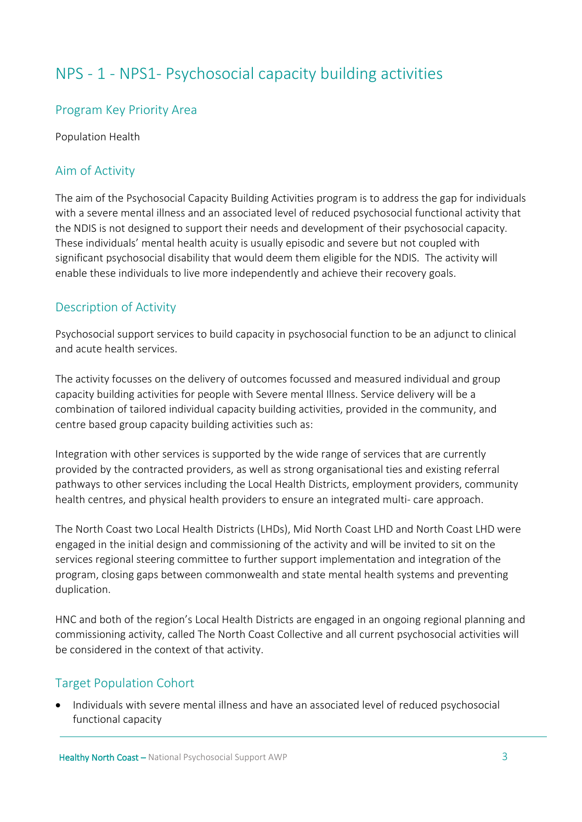# <span id="page-2-0"></span>NPS - 1 - NPS1- Psychosocial capacity building activities

#### Program Key Priority Area

Population Health

#### Aim of Activity

The aim of the Psychosocial Capacity Building Activities program is to address the gap for individuals with a severe mental illness and an associated level of reduced psychosocial functional activity that the NDIS is not designed to support their needs and development of their psychosocial capacity. These individuals' mental health acuity is usually episodic and severe but not coupled with significant psychosocial disability that would deem them eligible for the NDIS. The activity will enable these individuals to live more independently and achieve their recovery goals.

# Description of Activity

Psychosocial support services to build capacity in psychosocial function to be an adjunct to clinical and acute health services.

The activity focusses on the delivery of outcomes focussed and measured individual and group capacity building activities for people with Severe mental Illness. Service delivery will be a combination of tailored individual capacity building activities, provided in the community, and centre based group capacity building activities such as:

Integration with other services is supported by the wide range of services that are currently provided by the contracted providers, as well as strong organisational ties and existing referral pathways to other services including the Local Health Districts, employment providers, community health centres, and physical health providers to ensure an integrated multi- care approach.

The North Coast two Local Health Districts (LHDs), Mid North Coast LHD and North Coast LHD were engaged in the initial design and commissioning of the activity and will be invited to sit on the services regional steering committee to further support implementation and integration of the program, closing gaps between commonwealth and state mental health systems and preventing duplication.

HNC and both of the region's Local Health Districts are engaged in an ongoing regional planning and commissioning activity, called The North Coast Collective and all current psychosocial activities will be considered in the context of that activity.

# Target Population Cohort

• Individuals with severe mental illness and have an associated level of reduced psychosocial functional capacity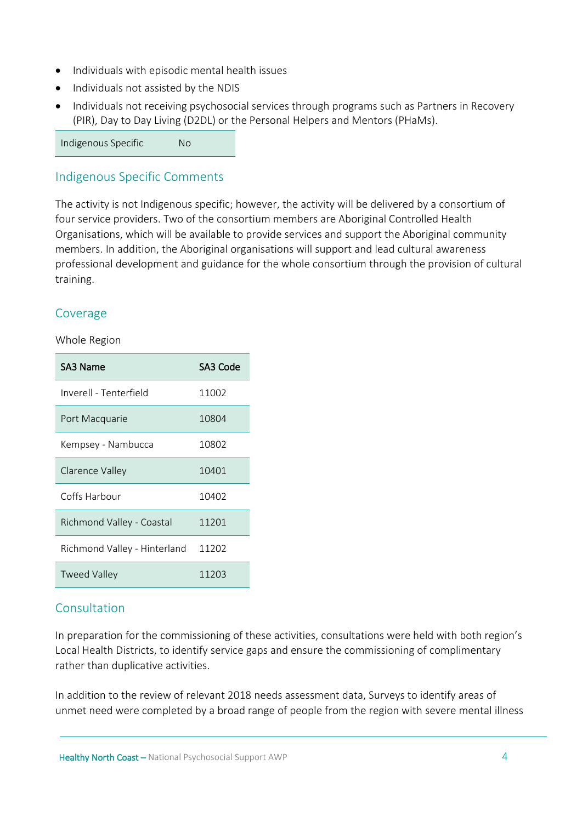- Individuals with episodic mental health issues
- Individuals not assisted by the NDIS
- Individuals not receiving psychosocial services through programs such as Partners in Recovery (PIR), Day to Day Living (D2DL) or the Personal Helpers and Mentors (PHaMs).

Indigenous Specific No

#### Indigenous Specific Comments

The activity is not Indigenous specific; however, the activity will be delivered by a consortium of four service providers. Two of the consortium members are Aboriginal Controlled Health Organisations, which will be available to provide services and support the Aboriginal community members. In addition, the Aboriginal organisations will support and lead cultural awareness professional development and guidance for the whole consortium through the provision of cultural training.

#### Coverage

#### Whole Region

| SA3 Name                     | SA3 Code |
|------------------------------|----------|
| Inverell - Tenterfield       | 11002    |
| Port Macquarie               | 10804    |
| Kempsey - Nambucca           | 10802    |
| Clarence Valley              | 10401    |
| Coffs Harbour                | 10402    |
| Richmond Valley - Coastal    | 11201    |
| Richmond Valley - Hinterland | 11202    |
| <b>Tweed Valley</b>          | 11203    |

#### **Consultation**

In preparation for the commissioning of these activities, consultations were held with both region's Local Health Districts, to identify service gaps and ensure the commissioning of complimentary rather than duplicative activities.

In addition to the review of relevant 2018 needs assessment data, Surveys to identify areas of unmet need were completed by a broad range of people from the region with severe mental illness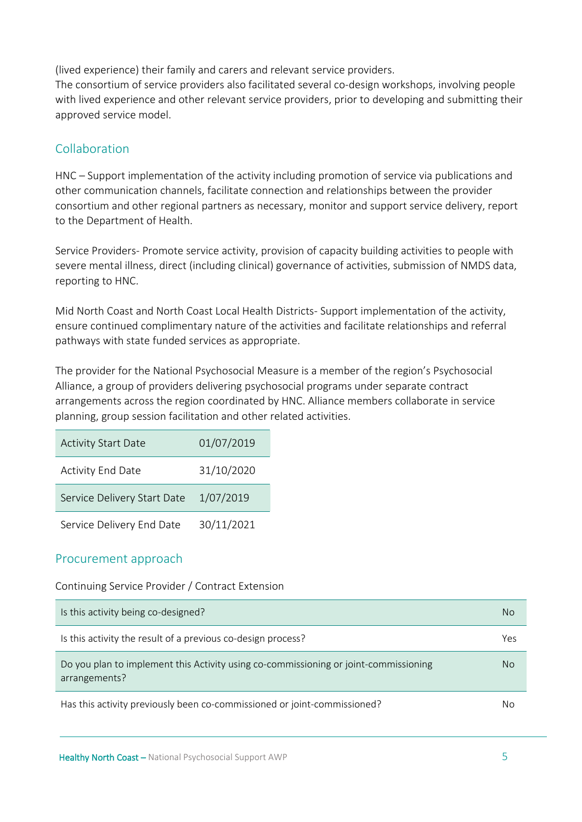(lived experience) their family and carers and relevant service providers.

The consortium of service providers also facilitated several co-design workshops, involving people with lived experience and other relevant service providers, prior to developing and submitting their approved service model.

# Collaboration

HNC – Support implementation of the activity including promotion of service via publications and other communication channels, facilitate connection and relationships between the provider consortium and other regional partners as necessary, monitor and support service delivery, report to the Department of Health.

Service Providers- Promote service activity, provision of capacity building activities to people with severe mental illness, direct (including clinical) governance of activities, submission of NMDS data, reporting to HNC.

Mid North Coast and North Coast Local Health Districts- Support implementation of the activity, ensure continued complimentary nature of the activities and facilitate relationships and referral pathways with state funded services as appropriate.

The provider for the National Psychosocial Measure is a member of the region's Psychosocial Alliance, a group of providers delivering psychosocial programs under separate contract arrangements across the region coordinated by HNC. Alliance members collaborate in service planning, group session facilitation and other related activities.

| <b>Activity Start Date</b>  | 01/07/2019 |
|-----------------------------|------------|
| <b>Activity End Date</b>    | 31/10/2020 |
| Service Delivery Start Date | 1/07/2019  |
| Service Delivery End Date   | 30/11/2021 |

# Procurement approach

Continuing Service Provider / Contract Extension

| Is this activity being co-designed?                                                                   | No. |
|-------------------------------------------------------------------------------------------------------|-----|
| Is this activity the result of a previous co-design process?                                          | Yes |
| Do you plan to implement this Activity using co-commissioning or joint-commissioning<br>arrangements? | No. |
| Has this activity previously been co-commissioned or joint-commissioned?                              | No  |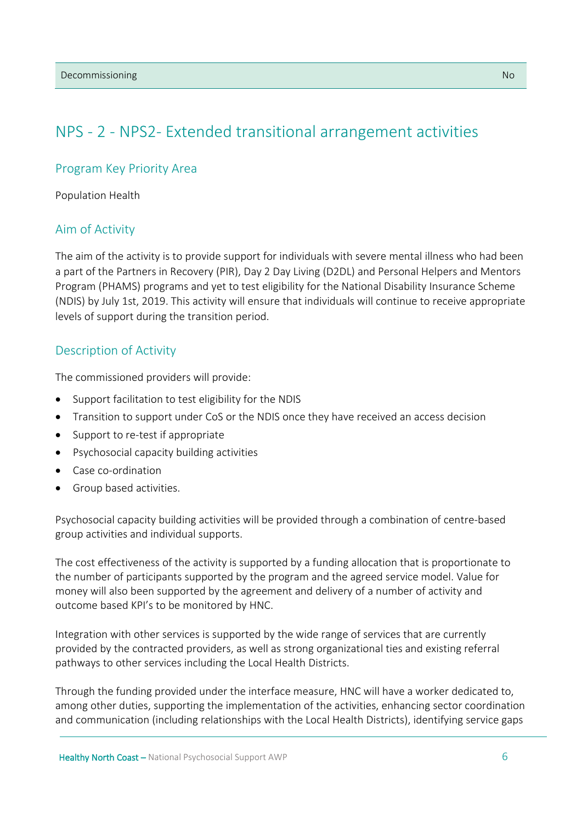# <span id="page-5-0"></span>NPS - 2 - NPS2- Extended transitional arrangement activities

#### Program Key Priority Area

Population Health

#### Aim of Activity

The aim of the activity is to provide support for individuals with severe mental illness who had been a part of the Partners in Recovery (PIR), Day 2 Day Living (D2DL) and Personal Helpers and Mentors Program (PHAMS) programs and yet to test eligibility for the National Disability Insurance Scheme (NDIS) by July 1st, 2019. This activity will ensure that individuals will continue to receive appropriate levels of support during the transition period.

#### Description of Activity

The commissioned providers will provide:

- Support facilitation to test eligibility for the NDIS
- Transition to support under CoS or the NDIS once they have received an access decision
- Support to re-test if appropriate
- Psychosocial capacity building activities
- Case co-ordination
- Group based activities.

Psychosocial capacity building activities will be provided through a combination of centre-based group activities and individual supports.

The cost effectiveness of the activity is supported by a funding allocation that is proportionate to the number of participants supported by the program and the agreed service model. Value for money will also been supported by the agreement and delivery of a number of activity and outcome based KPI's to be monitored by HNC.

Integration with other services is supported by the wide range of services that are currently provided by the contracted providers, as well as strong organizational ties and existing referral pathways to other services including the Local Health Districts.

Through the funding provided under the interface measure, HNC will have a worker dedicated to, among other duties, supporting the implementation of the activities, enhancing sector coordination and communication (including relationships with the Local Health Districts), identifying service gaps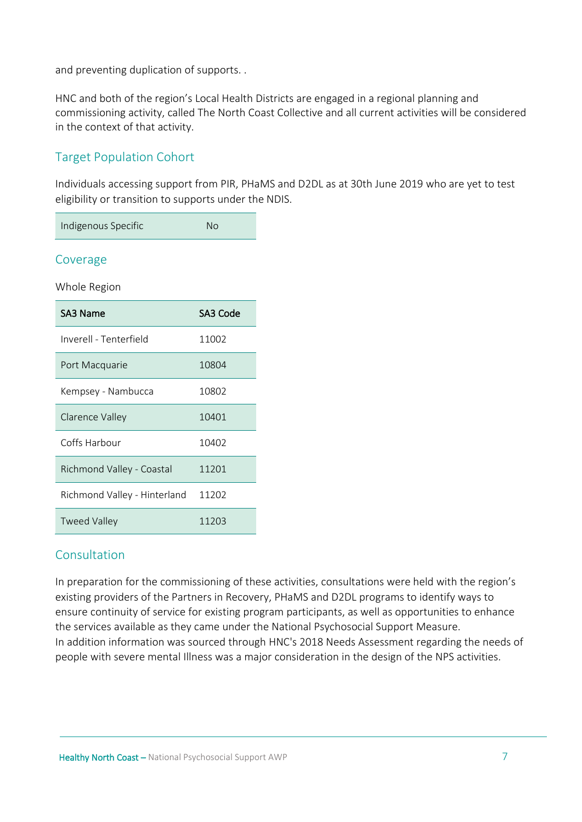and preventing duplication of supports. .

HNC and both of the region's Local Health Districts are engaged in a regional planning and commissioning activity, called The North Coast Collective and all current activities will be considered in the context of that activity.

# Target Population Cohort

Individuals accessing support from PIR, PHaMS and D2DL as at 30th June 2019 who are yet to test eligibility or transition to supports under the NDIS.

| Indigenous Specific | Nο |
|---------------------|----|
|---------------------|----|

#### Coverage

Whole Region

| SA3 Name                     | SA3 Code |
|------------------------------|----------|
| Inverell - Tenterfield       | 11002    |
| Port Macquarie               | 10804    |
| Kempsey - Nambucca           | 10802    |
| Clarence Valley              | 10401    |
| Coffs Harbour                | 10402    |
| Richmond Valley - Coastal    | 11201    |
| Richmond Valley - Hinterland | 11202    |
| Tweed Valley                 | 11203    |

#### Consultation

In preparation for the commissioning of these activities, consultations were held with the region's existing providers of the Partners in Recovery, PHaMS and D2DL programs to identify ways to ensure continuity of service for existing program participants, as well as opportunities to enhance the services available as they came under the National Psychosocial Support Measure. In addition information was sourced through HNC's 2018 Needs Assessment regarding the needs of people with severe mental Illness was a major consideration in the design of the NPS activities.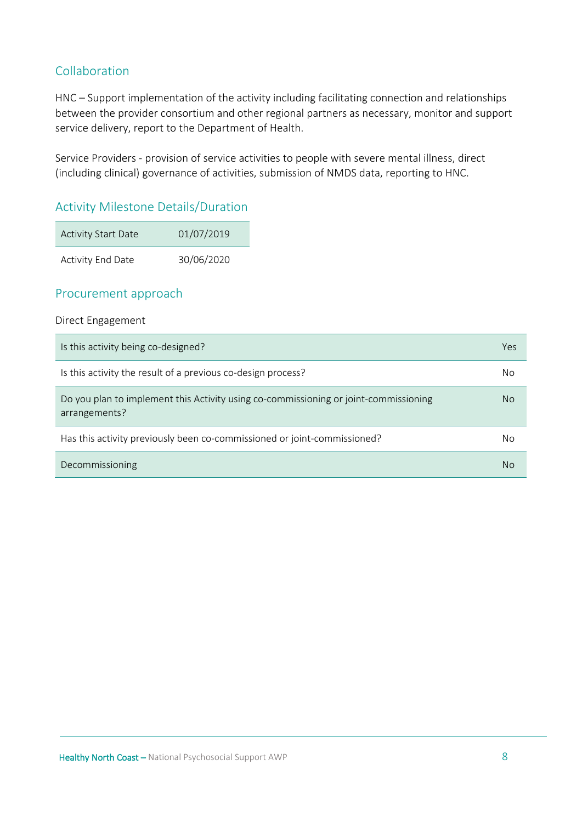# Collaboration

HNC – Support implementation of the activity including facilitating connection and relationships between the provider consortium and other regional partners as necessary, monitor and support service delivery, report to the Department of Health.

Service Providers - provision of service activities to people with severe mental illness, direct (including clinical) governance of activities, submission of NMDS data, reporting to HNC.

#### Activity Milestone Details/Duration

| <b>Activity Start Date</b> | 01/07/2019 |
|----------------------------|------------|
| Activity End Date          | 30/06/2020 |

#### Procurement approach

#### Direct Engagement

| Is this activity being co-designed?                                                                   | Yes |
|-------------------------------------------------------------------------------------------------------|-----|
| Is this activity the result of a previous co-design process?                                          | No  |
| Do you plan to implement this Activity using co-commissioning or joint-commissioning<br>arrangements? | No. |
| Has this activity previously been co-commissioned or joint-commissioned?                              | No  |
| Decommissioning                                                                                       | No  |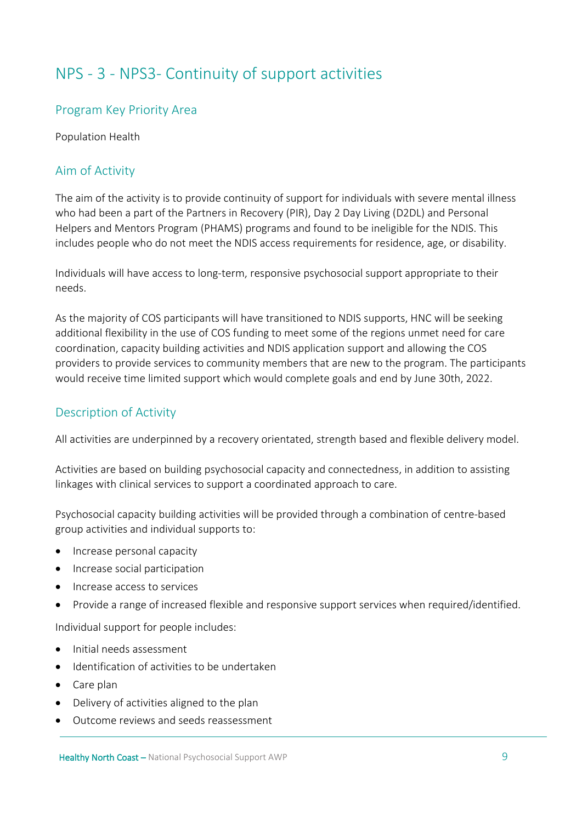# <span id="page-8-0"></span>NPS - 3 - NPS3- Continuity of support activities

#### Program Key Priority Area

Population Health

# Aim of Activity

The aim of the activity is to provide continuity of support for individuals with severe mental illness who had been a part of the Partners in Recovery (PIR), Day 2 Day Living (D2DL) and Personal Helpers and Mentors Program (PHAMS) programs and found to be ineligible for the NDIS. This includes people who do not meet the NDIS access requirements for residence, age, or disability.

Individuals will have access to long-term, responsive psychosocial support appropriate to their needs.

As the majority of COS participants will have transitioned to NDIS supports, HNC will be seeking additional flexibility in the use of COS funding to meet some of the regions unmet need for care coordination, capacity building activities and NDIS application support and allowing the COS providers to provide services to community members that are new to the program. The participants would receive time limited support which would complete goals and end by June 30th, 2022.

#### Description of Activity

All activities are underpinned by a recovery orientated, strength based and flexible delivery model.

Activities are based on building psychosocial capacity and connectedness, in addition to assisting linkages with clinical services to support a coordinated approach to care.

Psychosocial capacity building activities will be provided through a combination of centre-based group activities and individual supports to:

- Increase personal capacity
- Increase social participation
- Increase access to services
- Provide a range of increased flexible and responsive support services when required/identified.

Individual support for people includes:

- Initial needs assessment
- Identification of activities to be undertaken
- Care plan
- Delivery of activities aligned to the plan
- Outcome reviews and seeds reassessment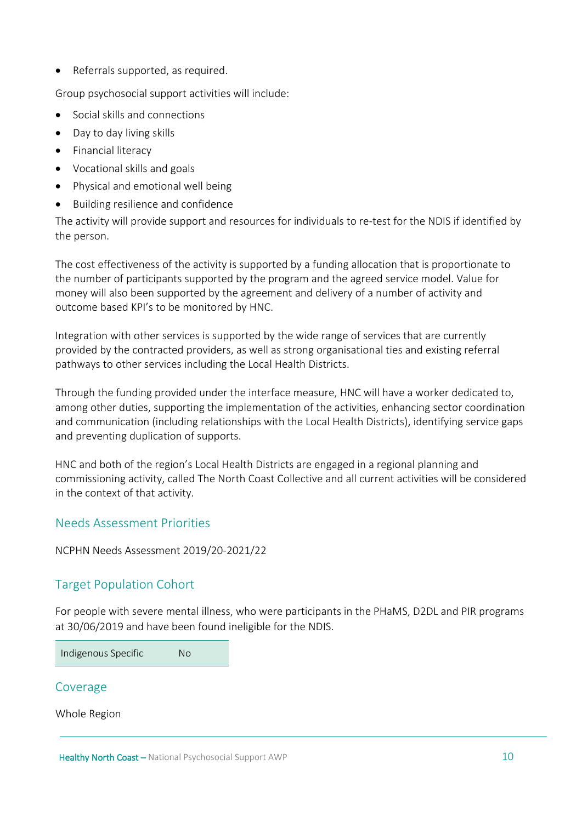• Referrals supported, as required.

Group psychosocial support activities will include:

- Social skills and connections
- Day to day living skills
- Financial literacy
- Vocational skills and goals
- Physical and emotional well being
- Building resilience and confidence

The activity will provide support and resources for individuals to re-test for the NDIS if identified by the person.

The cost effectiveness of the activity is supported by a funding allocation that is proportionate to the number of participants supported by the program and the agreed service model. Value for money will also been supported by the agreement and delivery of a number of activity and outcome based KPI's to be monitored by HNC.

Integration with other services is supported by the wide range of services that are currently provided by the contracted providers, as well as strong organisational ties and existing referral pathways to other services including the Local Health Districts.

Through the funding provided under the interface measure, HNC will have a worker dedicated to, among other duties, supporting the implementation of the activities, enhancing sector coordination and communication (including relationships with the Local Health Districts), identifying service gaps and preventing duplication of supports.

HNC and both of the region's Local Health Districts are engaged in a regional planning and commissioning activity, called The North Coast Collective and all current activities will be considered in the context of that activity.

#### Needs Assessment Priorities

NCPHN Needs Assessment 2019/20-2021/22

# Target Population Cohort

For people with severe mental illness, who were participants in the PHaMS, D2DL and PIR programs at 30/06/2019 and have been found ineligible for the NDIS.

Indigenous Specific No

#### Coverage

Whole Region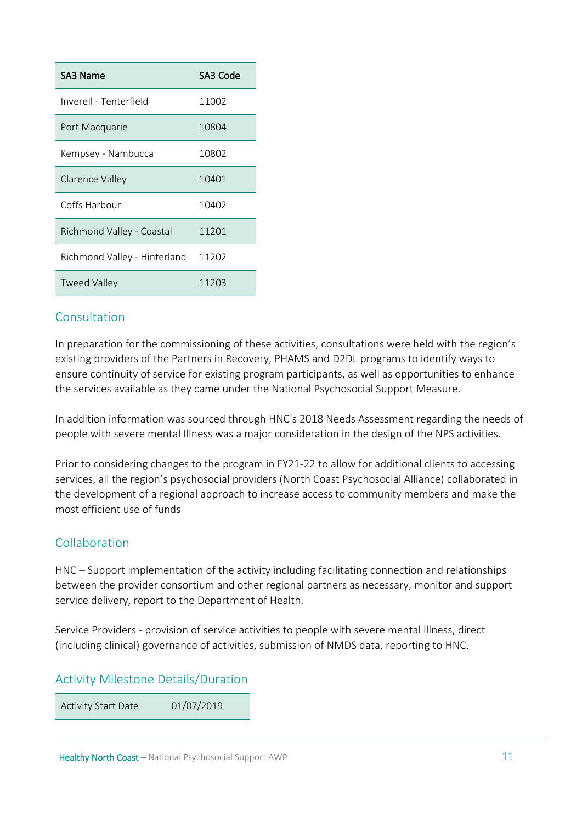| SA3 Name                     | SA3 Code |
|------------------------------|----------|
| Inverell - Tenterfield       | 11002    |
| Port Macquarie               | 10804    |
| Kempsey - Nambucca           | 10802    |
| Clarence Valley              | 10401    |
| Coffs Harbour                | 10402    |
| Richmond Valley - Coastal    | 11201    |
| Richmond Valley - Hinterland | 11202    |
| <b>Tweed Valley</b>          | 11203    |

#### Consultation

In preparation for the commissioning of these activities, consultations were held with the region's existing providers of the Partners in Recovery, PHAMS and D2DL programs to identify ways to ensure continuity of service for existing program participants, as well as opportunities to enhance the services available as they came under the National Psychosocial Support Measure.

In addition information was sourced through HNC's 2018 Needs Assessment regarding the needs of people with severe mental Illness was a major consideration in the design of the NPS activities.

Prior to considering changes to the program in FY21-22 to allow for additional clients to accessing services, all the region's psychosocial providers (North Coast Psychosocial Alliance) collaborated in the development of a regional approach to increase access to community members and make the most efficient use of funds

# Collaboration

HNC – Support implementation of the activity including facilitating connection and relationships between the provider consortium and other regional partners as necessary, monitor and support service delivery, report to the Department of Health.

Service Providers - provision of service activities to people with severe mental illness, direct (including clinical) governance of activities, submission of NMDS data, reporting to HNC.

# Activity Milestone Details/Duration

Activity Start Date 01/07/2019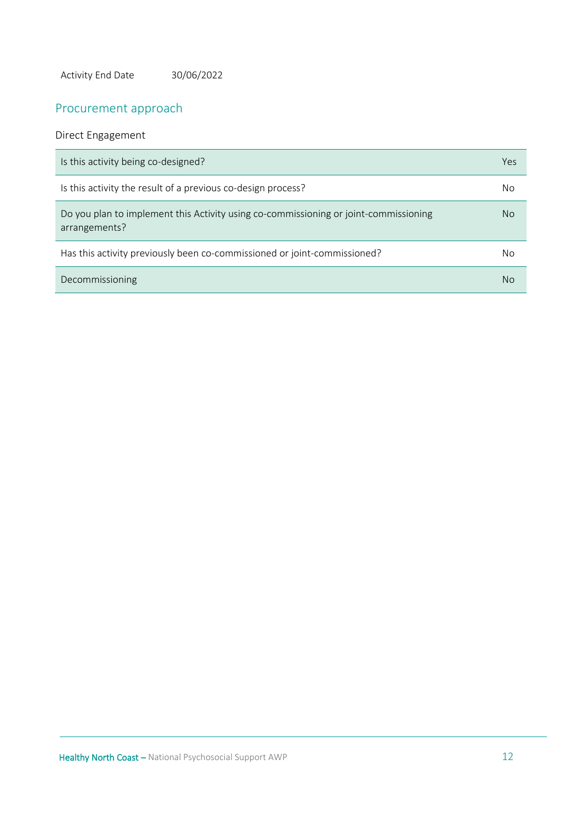Activity End Date 30/06/2022

# Procurement approach

#### Direct Engagement

| Is this activity being co-designed?                                                                   | Yes |
|-------------------------------------------------------------------------------------------------------|-----|
| Is this activity the result of a previous co-design process?                                          | No  |
| Do you plan to implement this Activity using co-commissioning or joint-commissioning<br>arrangements? | No. |
| Has this activity previously been co-commissioned or joint-commissioned?                              | No  |
| Decommissioning                                                                                       | No  |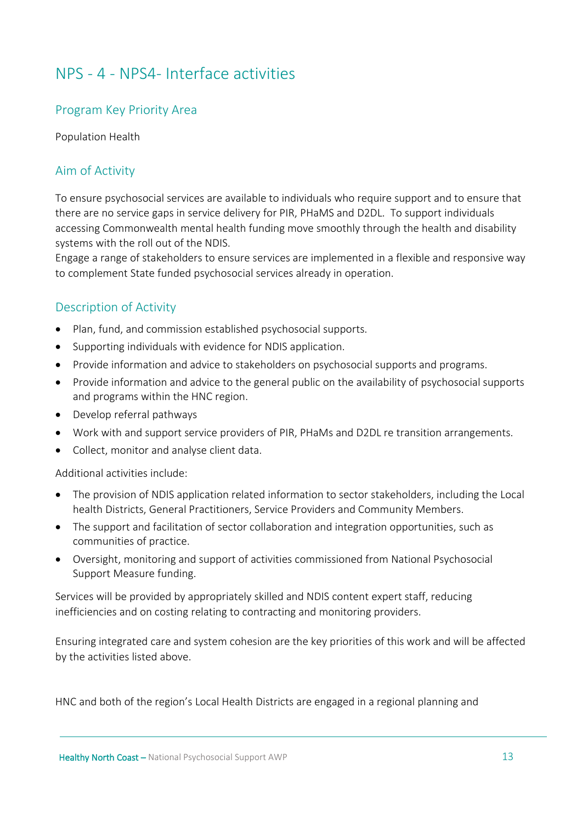# <span id="page-12-0"></span>NPS - 4 - NPS4- Interface activities

# Program Key Priority Area

Population Health

# Aim of Activity

To ensure psychosocial services are available to individuals who require support and to ensure that there are no service gaps in service delivery for PIR, PHaMS and D2DL. To support individuals accessing Commonwealth mental health funding move smoothly through the health and disability systems with the roll out of the NDIS.

Engage a range of stakeholders to ensure services are implemented in a flexible and responsive way to complement State funded psychosocial services already in operation.

# Description of Activity

- Plan, fund, and commission established psychosocial supports.
- Supporting individuals with evidence for NDIS application.
- Provide information and advice to stakeholders on psychosocial supports and programs.
- Provide information and advice to the general public on the availability of psychosocial supports and programs within the HNC region.
- Develop referral pathways
- Work with and support service providers of PIR, PHaMs and D2DL re transition arrangements.
- Collect, monitor and analyse client data.

Additional activities include:

- The provision of NDIS application related information to sector stakeholders, including the Local health Districts, General Practitioners, Service Providers and Community Members.
- The support and facilitation of sector collaboration and integration opportunities, such as communities of practice.
- Oversight, monitoring and support of activities commissioned from National Psychosocial Support Measure funding.

Services will be provided by appropriately skilled and NDIS content expert staff, reducing inefficiencies and on costing relating to contracting and monitoring providers.

Ensuring integrated care and system cohesion are the key priorities of this work and will be affected by the activities listed above.

HNC and both of the region's Local Health Districts are engaged in a regional planning and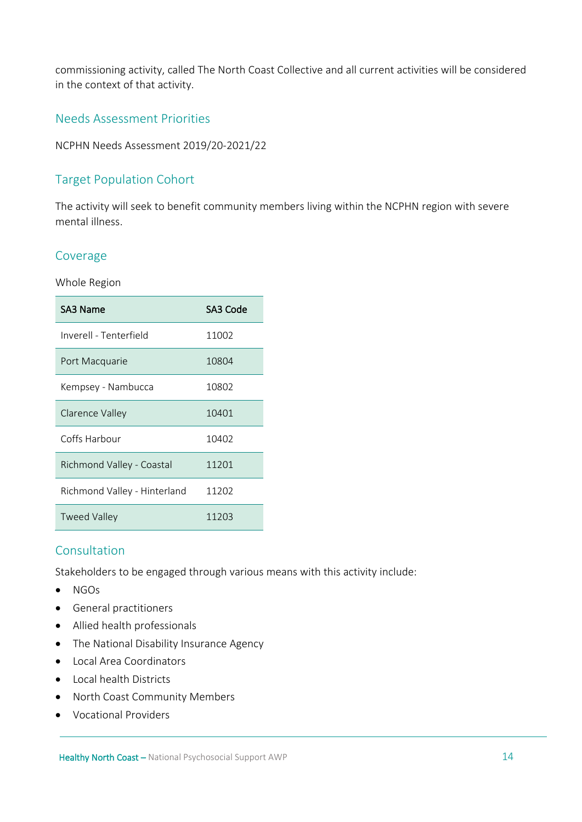commissioning activity, called The North Coast Collective and all current activities will be considered in the context of that activity.

#### Needs Assessment Priorities

NCPHN Needs Assessment 2019/20-2021/22

# Target Population Cohort

The activity will seek to benefit community members living within the NCPHN region with severe mental illness.

#### Coverage

Whole Region

| SA3 Name                     | SA3 Code |
|------------------------------|----------|
| Inverell - Tenterfield       | 11002    |
| Port Macquarie               | 10804    |
| Kempsey - Nambucca           | 10802    |
| Clarence Valley              | 10401    |
| Coffs Harbour                | 10402    |
| Richmond Valley - Coastal    | 11201    |
| Richmond Valley - Hinterland | 11202    |
| Tweed Valley                 | 11203    |

# Consultation

Stakeholders to be engaged through various means with this activity include:

- NGOs
- General practitioners
- Allied health professionals
- The National Disability Insurance Agency
- Local Area Coordinators
- Local health Districts
- North Coast Community Members
- Vocational Providers